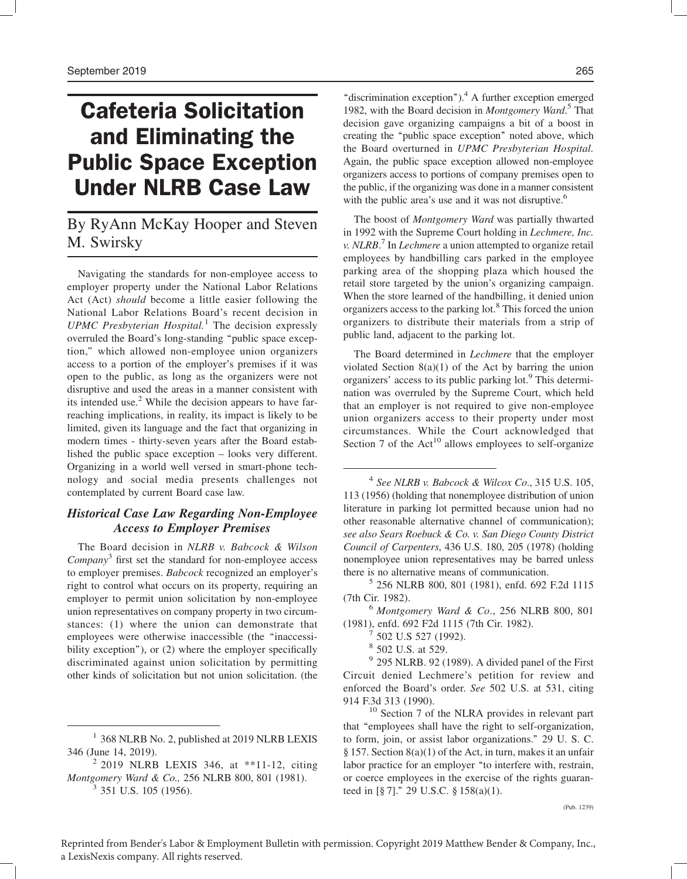# Cafeteria Solicitation and Eliminating the Public Space Exception Under NLRB Case Law

## By RyAnn McKay Hooper and Steven M. Swirsky

Navigating the standards for non-employee access to employer property under the National Labor Relations Act (Act) should become a little easier following the National Labor Relations Board's recent decision in UPMC Presbyterian Hospital.<sup>1</sup> The decision expressly overruled the Board's long-standing ''public space exception,'' which allowed non-employee union organizers access to a portion of the employer's premises if it was open to the public, as long as the organizers were not disruptive and used the areas in a manner consistent with its intended use.<sup>2</sup> While the decision appears to have farreaching implications, in reality, its impact is likely to be limited, given its language and the fact that organizing in modern times - thirty-seven years after the Board established the public space exception – looks very different. Organizing in a world well versed in smart-phone technology and social media presents challenges not contemplated by current Board case law.

### Historical Case Law Regarding Non-Employee Access to Employer Premises

The Board decision in NLRB v. Babcock & Wilson  $\mathit{Company}^3$  first set the standard for non-employee access to employer premises. Babcock recognized an employer's right to control what occurs on its property, requiring an employer to permit union solicitation by non-employee union representatives on company property in two circumstances: (1) where the union can demonstrate that employees were otherwise inaccessible (the ''inaccessibility exception''), or (2) where the employer specifically discriminated against union solicitation by permitting other kinds of solicitation but not union solicitation. (the

<sup>1</sup> 368 NLRB No. 2, published at 2019 NLRB LEXIS 346 (June 14, 2019).

"discrimination exception"). $^{4}$  A further exception emerged 1982, with the Board decision in Montgomery Ward.<sup>5</sup> That decision gave organizing campaigns a bit of a boost in creating the ''public space exception'' noted above, which the Board overturned in UPMC Presbyterian Hospital. Again, the public space exception allowed non-employee organizers access to portions of company premises open to the public, if the organizing was done in a manner consistent with the public area's use and it was not disruptive.<sup>6</sup>

The boost of Montgomery Ward was partially thwarted in 1992 with the Supreme Court holding in Lechmere, Inc. v. NLRB.<sup>7</sup> In Lechmere a union attempted to organize retail employees by handbilling cars parked in the employee parking area of the shopping plaza which housed the retail store targeted by the union's organizing campaign. When the store learned of the handbilling, it denied union organizers access to the parking lot.<sup>8</sup> This forced the union organizers to distribute their materials from a strip of public land, adjacent to the parking lot.

The Board determined in Lechmere that the employer violated Section 8(a)(1) of the Act by barring the union organizers' access to its public parking lot.<sup>9</sup> This determination was overruled by the Supreme Court, which held that an employer is not required to give non-employee union organizers access to their property under most circumstances. While the Court acknowledged that Section 7 of the  $Act^{10}$  allows employees to self-organize

 $4$  See NLRB v. Babcock & Wilcox Co., 315 U.S. 105, 113 (1956) (holding that nonemployee distribution of union literature in parking lot permitted because union had no other reasonable alternative channel of communication); see also Sears Roebuck & Co. v. San Diego County District Council of Carpenters, 436 U.S. 180, 205 (1978) (holding nonemployee union representatives may be barred unless there is no alternative means of communication.

<sup>5</sup> 256 NLRB 800, 801 (1981), enfd. 692 F.2d 1115 (7th Cir. 1982).

 $6$  Montgomery Ward & Co., 256 NLRB 800, 801 (1981), enfd. 692 F2d 1115 (7th Cir. 1982). <sup>7</sup> 502 U.S 527 (1992).

<sup>8</sup> 502 U.S. at 529.

 $9$  295 NLRB. 92 (1989). A divided panel of the First Circuit denied Lechmere's petition for review and enforced the Board's order. See 502 U.S. at 531, citing 914 F.3d 313 (1990).

 $10$  Section 7 of the NLRA provides in relevant part that ''employees shall have the right to self-organization, to form, join, or assist labor organizations.'' 29 U. S. C. § 157. Section 8(a)(1) of the Act, in turn, makes it an unfair labor practice for an employer "to interfere with, restrain, or coerce employees in the exercise of the rights guaranteed in [§ 7].'' 29 U.S.C. § 158(a)(1).

 $^{2}$  2019 NLRB LEXIS 346, at \*\*11-12, citing Montgomery Ward & Co., 256 NLRB 800, 801 (1981).  $3$  351 U.S. 105 (1956).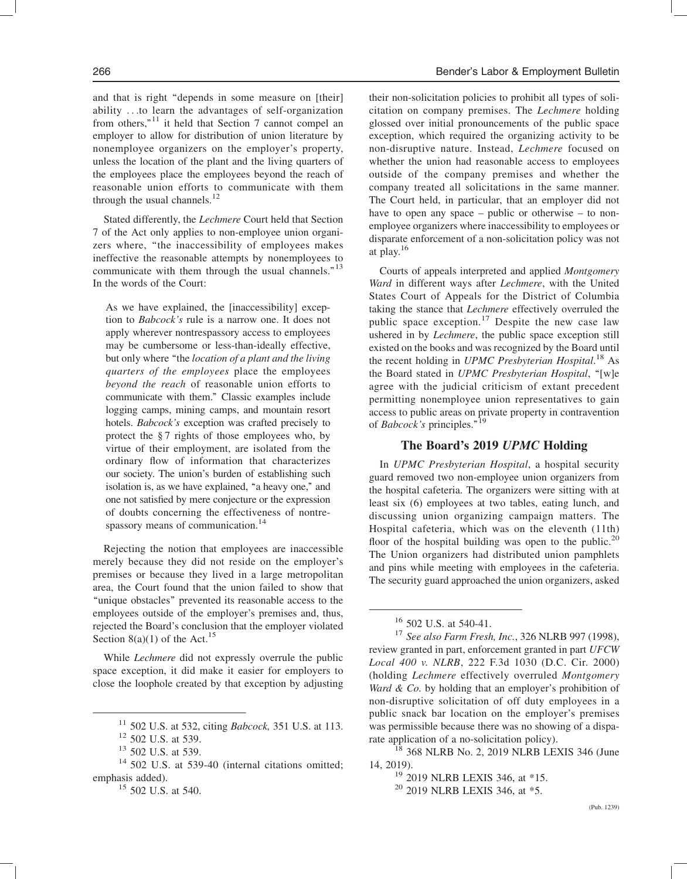and that is right "depends in some measure on [their] ability ...to learn the advantages of self-organization from others," $11$  it held that Section 7 cannot compel an employer to allow for distribution of union literature by nonemployee organizers on the employer's property, unless the location of the plant and the living quarters of the employees place the employees beyond the reach of reasonable union efforts to communicate with them through the usual channels. $12$ 

Stated differently, the Lechmere Court held that Section 7 of the Act only applies to non-employee union organizers where, ''the inaccessibility of employees makes ineffective the reasonable attempts by nonemployees to communicate with them through the usual channels."<sup>13</sup> In the words of the Court:

As we have explained, the [inaccessibility] exception to Babcock's rule is a narrow one. It does not apply wherever nontrespassory access to employees may be cumbersome or less-than-ideally effective, but only where "the *location of a plant and the living* quarters of the employees place the employees beyond the reach of reasonable union efforts to communicate with them.'' Classic examples include logging camps, mining camps, and mountain resort hotels. Babcock's exception was crafted precisely to protect the § 7 rights of those employees who, by virtue of their employment, are isolated from the ordinary flow of information that characterizes our society. The union's burden of establishing such isolation is, as we have explained, "a heavy one," and one not satisfied by mere conjecture or the expression of doubts concerning the effectiveness of nontrespassory means of communication.<sup>14</sup>

Rejecting the notion that employees are inaccessible merely because they did not reside on the employer's premises or because they lived in a large metropolitan area, the Court found that the union failed to show that ''unique obstacles'' prevented its reasonable access to the employees outside of the employer's premises and, thus, rejected the Board's conclusion that the employer violated Section 8(a)(1) of the Act.<sup>15</sup>

While Lechmere did not expressly overrule the public space exception, it did make it easier for employers to close the loophole created by that exception by adjusting their non-solicitation policies to prohibit all types of solicitation on company premises. The Lechmere holding glossed over initial pronouncements of the public space exception, which required the organizing activity to be non-disruptive nature. Instead, Lechmere focused on whether the union had reasonable access to employees outside of the company premises and whether the company treated all solicitations in the same manner. The Court held, in particular, that an employer did not have to open any space – public or otherwise – to nonemployee organizers where inaccessibility to employees or disparate enforcement of a non-solicitation policy was not at play.16

Courts of appeals interpreted and applied Montgomery Ward in different ways after Lechmere, with the United States Court of Appeals for the District of Columbia taking the stance that Lechmere effectively overruled the public space exception.<sup>17</sup> Despite the new case law ushered in by *Lechmere*, the public space exception still existed on the books and was recognized by the Board until the recent holding in UPMC Presbyterian Hospital.<sup>18</sup> As the Board stated in UPMC Presbyterian Hospital, "[w]e agree with the judicial criticism of extant precedent permitting nonemployee union representatives to gain access to public areas on private property in contravention of *Babcock's* principles."<sup>19</sup>

#### The Board's 2019 UPMC Holding

In UPMC Presbyterian Hospital, a hospital security guard removed two non-employee union organizers from the hospital cafeteria. The organizers were sitting with at least six (6) employees at two tables, eating lunch, and discussing union organizing campaign matters. The Hospital cafeteria, which was on the eleventh (11th) floor of the hospital building was open to the public.<sup>20</sup> The Union organizers had distributed union pamphlets and pins while meeting with employees in the cafeteria. The security guard approached the union organizers, asked

 $11$  502 U.S. at 532, citing *Babcock*, 351 U.S. at 113.

<sup>12</sup> 502 U.S. at 539.

<sup>13</sup> 502 U.S. at 539.

 $14$  502 U.S. at 539-40 (internal citations omitted; emphasis added).

<sup>&</sup>lt;sup>15</sup> 502 U.S. at 540.

<sup>16</sup> 502 U.S. at 540-41.

 $17$  See also Farm Fresh, Inc., 326 NLRB 997 (1998), review granted in part, enforcement granted in part UFCW Local 400 v. NLRB, 222 F.3d 1030 (D.C. Cir. 2000) (holding Lechmere effectively overruled Montgomery Ward  $\&$  Co. by holding that an employer's prohibition of non-disruptive solicitation of off duty employees in a public snack bar location on the employer's premises was permissible because there was no showing of a disparate application of a no-solicitation policy).

 $18$  368 NLRB No. 2, 2019 NLRB LEXIS 346 (June 14, 2019).

<sup>&</sup>lt;sup>19</sup> 2019 NLRB LEXIS 346, at \*15.

<sup>&</sup>lt;sup>20</sup> 2019 NLRB LEXIS 346, at \*5.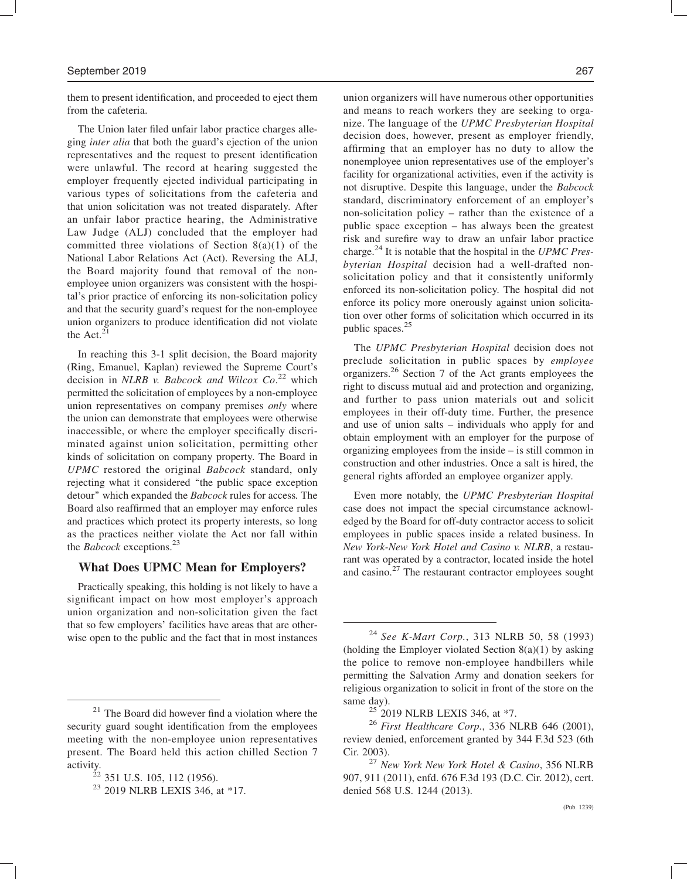them to present identification, and proceeded to eject them from the cafeteria.

The Union later filed unfair labor practice charges alleging inter alia that both the guard's ejection of the union representatives and the request to present identification were unlawful. The record at hearing suggested the employer frequently ejected individual participating in various types of solicitations from the cafeteria and that union solicitation was not treated disparately. After an unfair labor practice hearing, the Administrative Law Judge (ALJ) concluded that the employer had committed three violations of Section 8(a)(1) of the National Labor Relations Act (Act). Reversing the ALJ, the Board majority found that removal of the nonemployee union organizers was consistent with the hospital's prior practice of enforcing its non-solicitation policy and that the security guard's request for the non-employee union organizers to produce identification did not violate the Act. $^{21}$ 

In reaching this 3-1 split decision, the Board majority (Ring, Emanuel, Kaplan) reviewed the Supreme Court's decision in NLRB v. Babcock and Wilcox  $Co^{22}$  which permitted the solicitation of employees by a non-employee union representatives on company premises *only* where the union can demonstrate that employees were otherwise inaccessible, or where the employer specifically discriminated against union solicitation, permitting other kinds of solicitation on company property. The Board in UPMC restored the original Babcock standard, only rejecting what it considered ''the public space exception detour'' which expanded the Babcock rules for access. The Board also reaffirmed that an employer may enforce rules and practices which protect its property interests, so long as the practices neither violate the Act nor fall within the *Babcock* exceptions.<sup>23</sup>

#### What Does UPMC Mean for Employers?

Practically speaking, this holding is not likely to have a significant impact on how most employer's approach union organization and non-solicitation given the fact that so few employers' facilities have areas that are otherwise open to the public and the fact that in most instances

union organizers will have numerous other opportunities and means to reach workers they are seeking to organize. The language of the UPMC Presbyterian Hospital decision does, however, present as employer friendly, affirming that an employer has no duty to allow the nonemployee union representatives use of the employer's facility for organizational activities, even if the activity is not disruptive. Despite this language, under the Babcock standard, discriminatory enforcement of an employer's non-solicitation policy – rather than the existence of a public space exception – has always been the greatest risk and surefire way to draw an unfair labor practice charge.<sup>24</sup> It is notable that the hospital in the UPMC Presbyterian Hospital decision had a well-drafted nonsolicitation policy and that it consistently uniformly enforced its non-solicitation policy. The hospital did not enforce its policy more onerously against union solicitation over other forms of solicitation which occurred in its public spaces.<sup>25</sup>

The UPMC Presbyterian Hospital decision does not preclude solicitation in public spaces by employee organizers.<sup>26</sup> Section 7 of the Act grants employees the right to discuss mutual aid and protection and organizing, and further to pass union materials out and solicit employees in their off-duty time. Further, the presence and use of union salts – individuals who apply for and obtain employment with an employer for the purpose of organizing employees from the inside – is still common in construction and other industries. Once a salt is hired, the general rights afforded an employee organizer apply.

Even more notably, the UPMC Presbyterian Hospital case does not impact the special circumstance acknowledged by the Board for off-duty contractor access to solicit employees in public spaces inside a related business. In New York-New York Hotel and Casino v. NLRB, a restaurant was operated by a contractor, located inside the hotel and casino. $27$  The restaurant contractor employees sought

 $21$  The Board did however find a violation where the security guard sought identification from the employees meeting with the non-employee union representatives present. The Board held this action chilled Section 7 activity.

 $^{22}$  351 U.S. 105, 112 (1956).

<sup>&</sup>lt;sup>23</sup> 2019 NLRB LEXIS 346, at \*17.

 $24$  See K-Mart Corp., 313 NLRB 50, 58 (1993) (holding the Employer violated Section  $8(a)(1)$  by asking the police to remove non-employee handbillers while permitting the Salvation Army and donation seekers for religious organization to solicit in front of the store on the same day).

<sup>&</sup>lt;sup>25</sup> 2019 NLRB LEXIS 346, at \*7.

 $26$  First Healthcare Corp., 336 NLRB 646 (2001), review denied, enforcement granted by 344 F.3d 523 (6th Cir. 2003).

 $^{27}$  New York New York Hotel & Casino, 356 NLRB 907, 911 (2011), enfd. 676 F.3d 193 (D.C. Cir. 2012), cert. denied 568 U.S. 1244 (2013).